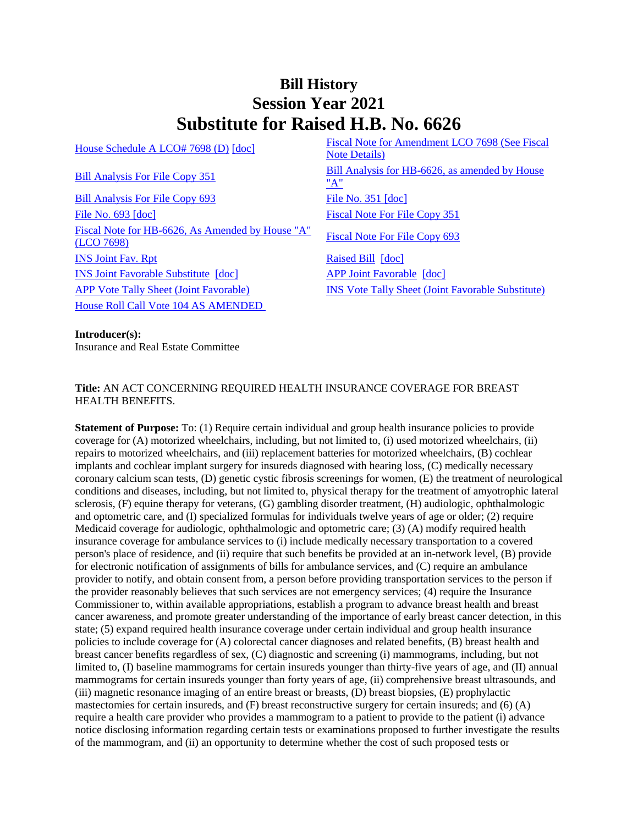# **Bill History Session Year 2021 Substitute for Raised H.B. No. 6626**

[Bill Analysis For File Copy 693](/2021/BA/PDF/2021HB-06626-R010693-BA.PDF) [File No. 351](/2021/FC/PDF/2021HB-06626-R000351-FC.PDF) [\[doc\]](/2021/FC/PDF/2021HB-06626-R000351-FC.PDF) [File No. 693](/2021/FC/PDF/2021HB-06626-R000693-FC.PDF) [\[doc\]](/2021/FC/PDF/2021HB-06626-R000693-FC.PDF) [Fiscal Note For File Copy 351](/2021/FN/PDF/2021HB-06626-R000351-FN.PDF) [Fiscal Note for HB-6626, As Amended by House "A"](/2021/FN/PDF/2021HB-06626-R01-FN.PDF)  Fiscal Note For File Copy 693<br>[\(LCO 7698\)](/2021/FN/PDF/2021HB-06626-R01-FN.PDF) **[INS Joint Fav. Rpt](/2021/JFR/H/PDF/2021HB-06626-R00INS-JFR.PDF)** [Raised Bill](/2021/TOB/H/PDF/2021HB-06626-R00-HB.PDF) [\[doc\]](https://search.cga.state.ct.us/dl2021/TOB/DOC/2021HB-06626-R00-HB.DOCX) [INS Joint Favorable Substitute](/2021/TOB/H/PDF/2021HB-06626-R01-HB.PDF) [\[doc\]](https://search.cga.state.ct.us/dl2021/TOB/DOC/2021HB-06626-R01-HB.DOCX) [APP Joint Favorable](/2021/TOB/H/PDF/2021HB-06626-R02-HB.PDF) [\[doc\]](https://search.cga.state.ct.us/dl2021/TOB/DOC/2021HB-06626-R02-HB.DOCX) [APP Vote Tally Sheet \(Joint Favorable\)](/2021/TS/H/PDF/2021HB-06626-R00APP-CV75-TS.PDF) [INS Vote Tally Sheet \(Joint Favorable Substitute\)](/2021/TS/H/PDF/2021HB-06626-R00INS-CV24-TS.PDF) [House Roll Call Vote 104 AS AMENDED](/2021/VOTE/H/PDF/2021HV-00104-R00HB06626-HV.PDF) 

[House Schedule A LCO# 7698 \(D\)](/2021/amd/H/pdf/2021HB-06626-R00HA-AMD.pdf) [\[doc\]](https://search.cga.state.ct.us/dl2021/AMD/doc/2021HB-06626-R00HA-AMD.docx) Fiscal Note for Amendment LCO 7698 (See Fiscal [Note Details\)](/2021/fna/pdf/2021HB-06626-R00LCO07698-FNA.PDF)  [Bill Analysis For File Copy 351](/2021/BA/PDF/2021HB-06626-R000351-BA.PDF) Bill Analysis for HB-6626, as amended by House ["A"](/2021/BA/PDF/2021HB-06626-R01-BA.PDF)

### **Introducer(s):**

Insurance and Real Estate Committee

## **Title:** AN ACT CONCERNING REQUIRED HEALTH INSURANCE COVERAGE FOR BREAST HEALTH BENEFITS.

**Statement of Purpose:** To: (1) Require certain individual and group health insurance policies to provide coverage for (A) motorized wheelchairs, including, but not limited to, (i) used motorized wheelchairs, (ii) repairs to motorized wheelchairs, and (iii) replacement batteries for motorized wheelchairs, (B) cochlear implants and cochlear implant surgery for insureds diagnosed with hearing loss, (C) medically necessary coronary calcium scan tests, (D) genetic cystic fibrosis screenings for women, (E) the treatment of neurological conditions and diseases, including, but not limited to, physical therapy for the treatment of amyotrophic lateral sclerosis, (F) equine therapy for veterans, (G) gambling disorder treatment, (H) audiologic, ophthalmologic and optometric care, and (I) specialized formulas for individuals twelve years of age or older; (2) require Medicaid coverage for audiologic, ophthalmologic and optometric care; (3) (A) modify required health insurance coverage for ambulance services to (i) include medically necessary transportation to a covered person's place of residence, and (ii) require that such benefits be provided at an in-network level, (B) provide for electronic notification of assignments of bills for ambulance services, and (C) require an ambulance provider to notify, and obtain consent from, a person before providing transportation services to the person if the provider reasonably believes that such services are not emergency services; (4) require the Insurance Commissioner to, within available appropriations, establish a program to advance breast health and breast cancer awareness, and promote greater understanding of the importance of early breast cancer detection, in this state; (5) expand required health insurance coverage under certain individual and group health insurance policies to include coverage for (A) colorectal cancer diagnoses and related benefits, (B) breast health and breast cancer benefits regardless of sex, (C) diagnostic and screening (i) mammograms, including, but not limited to, (I) baseline mammograms for certain insureds younger than thirty-five years of age, and (II) annual mammograms for certain insureds younger than forty years of age, (ii) comprehensive breast ultrasounds, and (iii) magnetic resonance imaging of an entire breast or breasts, (D) breast biopsies, (E) prophylactic mastectomies for certain insureds, and (F) breast reconstructive surgery for certain insureds; and (6) (A) require a health care provider who provides a mammogram to a patient to provide to the patient (i) advance notice disclosing information regarding certain tests or examinations proposed to further investigate the results of the mammogram, and (ii) an opportunity to determine whether the cost of such proposed tests or